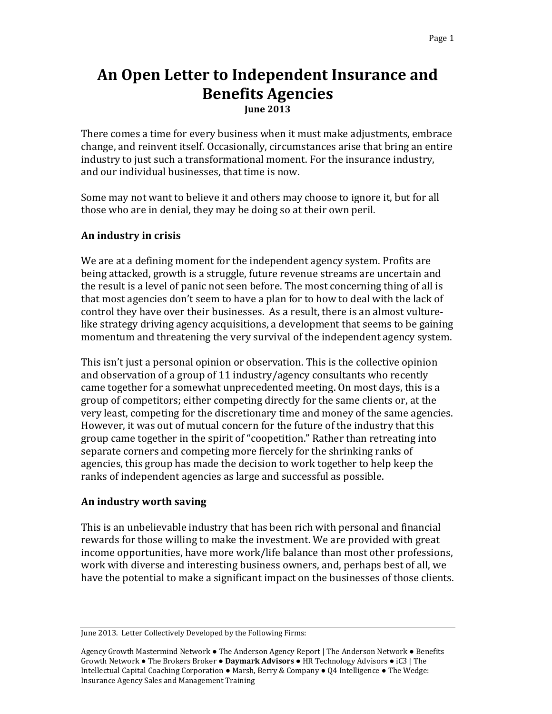# **An Open Letter to Independent Insurance and Benefits Agencies June 2013**

There comes a time for every business when it must make adjustments, embrace change, and reinvent itself. Occasionally, circumstances arise that bring an entire industry to just such a transformational moment. For the insurance industry, and our individual businesses, that time is now.

Some may not want to believe it and others may choose to ignore it, but for all those who are in denial, they may be doing so at their own peril.

#### **An industry in crisis**

We are at a defining moment for the independent agency system. Profits are being attacked, growth is a struggle, future revenue streams are uncertain and the result is a level of panic not seen before. The most concerning thing of all is that most agencies don't seem to have a plan for to how to deal with the lack of control they have over their businesses. As a result, there is an almost vulturelike strategy driving agency acquisitions, a development that seems to be gaining momentum and threatening the very survival of the independent agency system.

This isn't just a personal opinion or observation. This is the collective opinion and observation of a group of 11 industry/agency consultants who recently came together for a somewhat unprecedented meeting. On most days, this is a group of competitors; either competing directly for the same clients or, at the very least, competing for the discretionary time and money of the same agencies. However, it was out of mutual concern for the future of the industry that this group came together in the spirit of "coopetition." Rather than retreating into separate corners and competing more fiercely for the shrinking ranks of agencies, this group has made the decision to work together to help keep the ranks of independent agencies as large and successful as possible.

#### **An industry worth saving**

This is an unbelievable industry that has been rich with personal and financial rewards for those willing to make the investment. We are provided with great income opportunities, have more work/life balance than most other professions, work with diverse and interesting business owners, and, perhaps best of all, we have the potential to make a significant impact on the businesses of those clients.

June 2013. Letter Collectively Developed by the Following Firms:

Agency Growth Mastermind Network ● The Anderson Agency Report | The Anderson Network ● Benefits Growth Network ● The Brokers Broker ● **Daymark Advisors** ● HR Technology Advisors ● iC3 | The Intellectual Capital Coaching Corporation ● Marsh, Berry & Company ● Q4 Intelligence ● The Wedge: Insurance Agency Sales and Management Training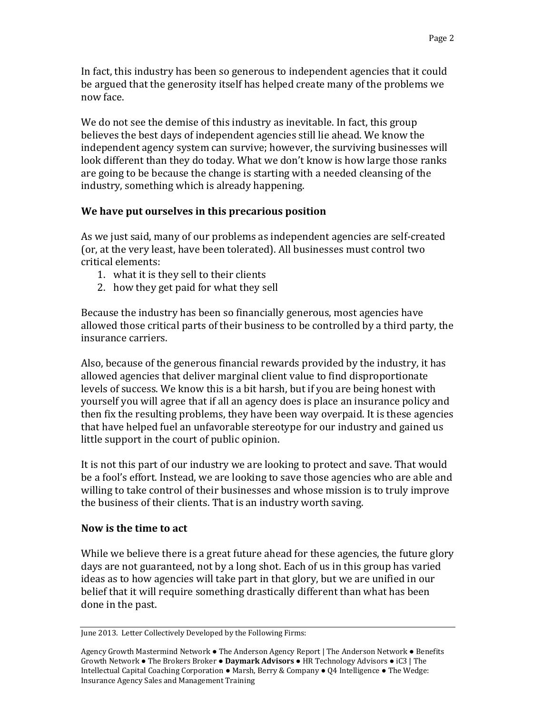We do not see the demise of this industry as inevitable. In fact, this group believes the best days of independent agencies still lie ahead. We know the independent agency system can survive; however, the surviving businesses will look different than they do today. What we don't know is how large those ranks are going to be because the change is starting with a needed cleansing of the industry, something which is already happening.

# **We have put ourselves in this precarious position**

As we just said, many of our problems as independent agencies are self-created (or, at the very least, have been tolerated). All businesses must control two critical elements:

- 1. what it is they sell to their clients
- 2. how they get paid for what they sell

Because the industry has been so financially generous, most agencies have allowed those critical parts of their business to be controlled by a third party, the insurance carriers.

Also, because of the generous financial rewards provided by the industry, it has allowed agencies that deliver marginal client value to find disproportionate levels of success. We know this is a bit harsh, but if you are being honest with yourself you will agree that if all an agency does is place an insurance policy and then fix the resulting problems, they have been way overpaid. It is these agencies that have helped fuel an unfavorable stereotype for our industry and gained us little support in the court of public opinion.

It is not this part of our industry we are looking to protect and save. That would be a fool's effort. Instead, we are looking to save those agencies who are able and willing to take control of their businesses and whose mission is to truly improve the business of their clients. That is an industry worth saving.

## **Now is the time to act**

While we believe there is a great future ahead for these agencies, the future glory days are not guaranteed, not by a long shot. Each of us in this group has varied ideas as to how agencies will take part in that glory, but we are unified in our belief that it will require something drastically different than what has been done in the past.

June 2013. Letter Collectively Developed by the Following Firms:

Agency Growth Mastermind Network ● The Anderson Agency Report | The Anderson Network ● Benefits Growth Network ● The Brokers Broker ● **Daymark Advisors** ● HR Technology Advisors ● iC3 | The Intellectual Capital Coaching Corporation ● Marsh, Berry & Company ● Q4 Intelligence ● The Wedge: Insurance Agency Sales and Management Training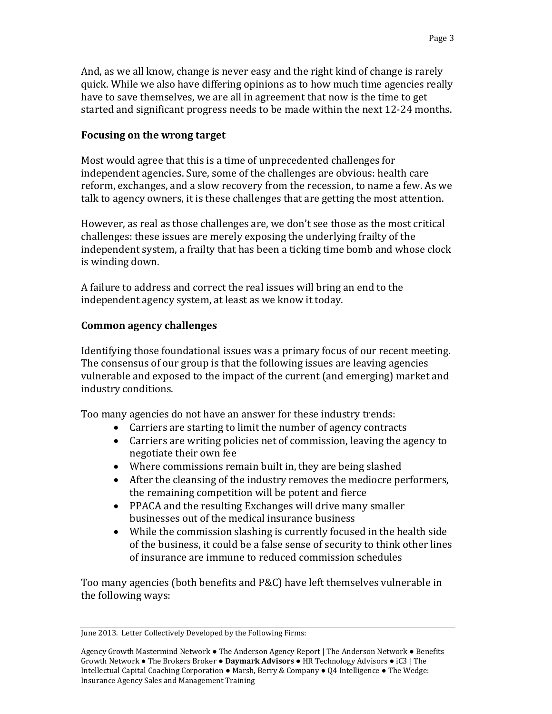And, as we all know, change is never easy and the right kind of change is rarely quick. While we also have differing opinions as to how much time agencies really have to save themselves, we are all in agreement that now is the time to get started and significant progress needs to be made within the next 12-24 months.

### **Focusing on the wrong target**

Most would agree that this is a time of unprecedented challenges for independent agencies. Sure, some of the challenges are obvious: health care reform, exchanges, and a slow recovery from the recession, to name a few. As we talk to agency owners, it is these challenges that are getting the most attention.

However, as real as those challenges are, we don't see those as the most critical challenges: these issues are merely exposing the underlying frailty of the independent system, a frailty that has been a ticking time bomb and whose clock is winding down.

A failure to address and correct the real issues will bring an end to the independent agency system, at least as we know it today.

### **Common agency challenges**

Identifying those foundational issues was a primary focus of our recent meeting. The consensus of our group is that the following issues are leaving agencies vulnerable and exposed to the impact of the current (and emerging) market and industry conditions.

Too many agencies do not have an answer for these industry trends:

- Carriers are starting to limit the number of agency contracts
- Carriers are writing policies net of commission, leaving the agency to negotiate their own fee
- Where commissions remain built in, they are being slashed
- After the cleansing of the industry removes the mediocre performers, the remaining competition will be potent and fierce
- PPACA and the resulting Exchanges will drive many smaller businesses out of the medical insurance business
- While the commission slashing is currently focused in the health side of the business, it could be a false sense of security to think other lines of insurance are immune to reduced commission schedules

Too many agencies (both benefits and P&C) have left themselves vulnerable in the following ways:

June 2013. Letter Collectively Developed by the Following Firms:

Agency Growth Mastermind Network ● The Anderson Agency Report | The Anderson Network ● Benefits Growth Network ● The Brokers Broker ● **Daymark Advisors** ● HR Technology Advisors ● iC3 | The Intellectual Capital Coaching Corporation ● Marsh, Berry & Company ● Q4 Intelligence ● The Wedge: Insurance Agency Sales and Management Training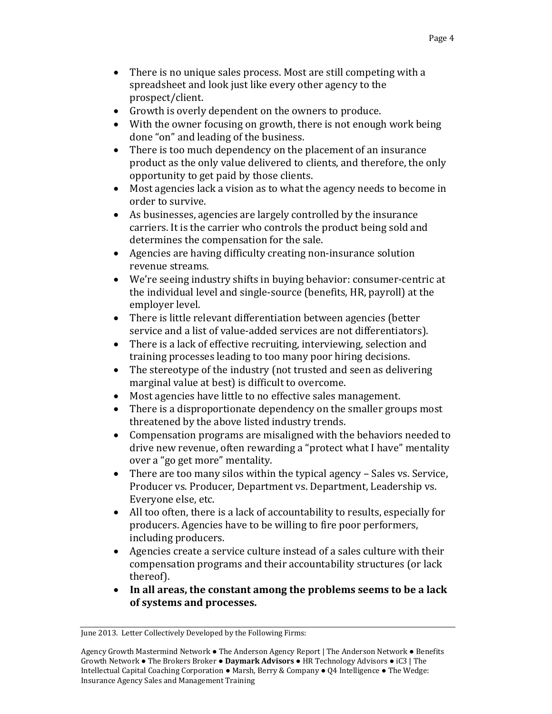- There is no unique sales process. Most are still competing with a spreadsheet and look just like every other agency to the prospect/client.
- Growth is overly dependent on the owners to produce.
- With the owner focusing on growth, there is not enough work being done "on" and leading of the business.
- There is too much dependency on the placement of an insurance product as the only value delivered to clients, and therefore, the only opportunity to get paid by those clients.
- Most agencies lack a vision as to what the agency needs to become in order to survive.
- As businesses, agencies are largely controlled by the insurance carriers. It is the carrier who controls the product being sold and determines the compensation for the sale.
- Agencies are having difficulty creating non-insurance solution revenue streams.
- We're seeing industry shifts in buying behavior: consumer-centric at the individual level and single-source (benefits, HR, payroll) at the employer level.
- There is little relevant differentiation between agencies (better service and a list of value-added services are not differentiators).
- There is a lack of effective recruiting, interviewing, selection and training processes leading to too many poor hiring decisions.
- The stereotype of the industry (not trusted and seen as delivering marginal value at best) is difficult to overcome.
- Most agencies have little to no effective sales management.
- There is a disproportionate dependency on the smaller groups most threatened by the above listed industry trends.
- Compensation programs are misaligned with the behaviors needed to drive new revenue, often rewarding a "protect what I have" mentality over a "go get more" mentality.
- There are too many silos within the typical agency Sales vs. Service, Producer vs. Producer, Department vs. Department, Leadership vs. Everyone else, etc.
- All too often, there is a lack of accountability to results, especially for producers. Agencies have to be willing to fire poor performers, including producers.
- Agencies create a service culture instead of a sales culture with their compensation programs and their accountability structures (or lack thereof).
- **In all areas, the constant among the problems seems to be a lack of systems and processes.**

June 2013. Letter Collectively Developed by the Following Firms: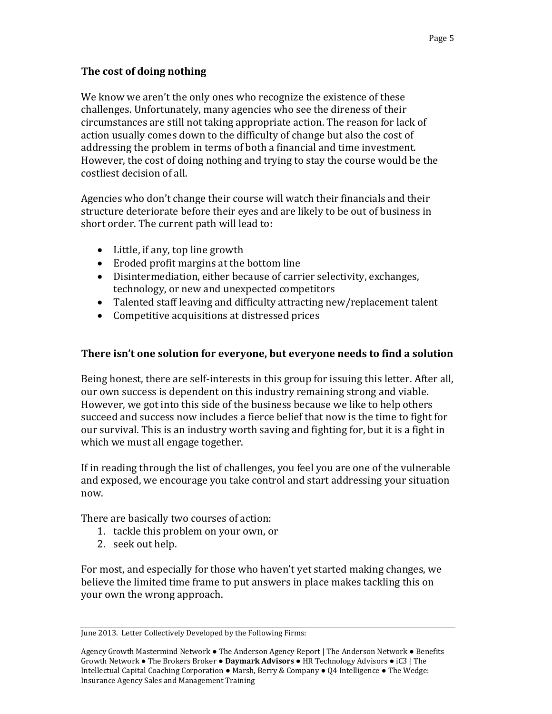### **The cost of doing nothing**

We know we aren't the only ones who recognize the existence of these challenges. Unfortunately, many agencies who see the direness of their circumstances are still not taking appropriate action. The reason for lack of action usually comes down to the difficulty of change but also the cost of addressing the problem in terms of both a financial and time investment. However, the cost of doing nothing and trying to stay the course would be the costliest decision of all.

Agencies who don't change their course will watch their financials and their structure deteriorate before their eyes and are likely to be out of business in short order. The current path will lead to:

- Little, if any, top line growth
- Eroded profit margins at the bottom line
- Disintermediation, either because of carrier selectivity, exchanges, technology, or new and unexpected competitors
- Talented staff leaving and difficulty attracting new/replacement talent
- Competitive acquisitions at distressed prices

### **There isn't one solution for everyone, but everyone needs to find a solution**

Being honest, there are self-interests in this group for issuing this letter. After all, our own success is dependent on this industry remaining strong and viable. However, we got into this side of the business because we like to help others succeed and success now includes a fierce belief that now is the time to fight for our survival. This is an industry worth saving and fighting for, but it is a fight in which we must all engage together.

If in reading through the list of challenges, you feel you are one of the vulnerable and exposed, we encourage you take control and start addressing your situation now.

There are basically two courses of action:

- 1. tackle this problem on your own, or
- 2. seek out help.

For most, and especially for those who haven't yet started making changes, we believe the limited time frame to put answers in place makes tackling this on your own the wrong approach.

June 2013. Letter Collectively Developed by the Following Firms:

Agency Growth Mastermind Network ● The Anderson Agency Report | The Anderson Network ● Benefits Growth Network ● The Brokers Broker ● **Daymark Advisors** ● HR Technology Advisors ● iC3 | The Intellectual Capital Coaching Corporation ● Marsh, Berry & Company ● Q4 Intelligence ● The Wedge: Insurance Agency Sales and Management Training